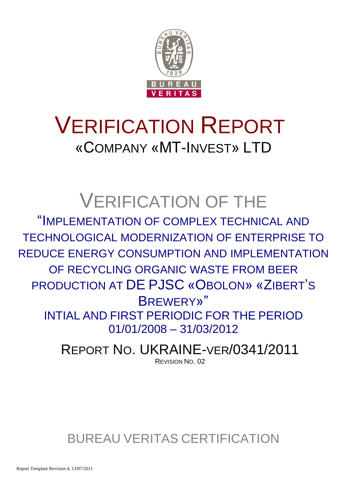

# VERIFICATION REPORT «COMPANY «MT-INVEST» LTD

# VERIFICATION OF THE

"IMPLEMENTATION OF COMPLEX TECHNICAL AND TECHNOLOGICAL MODERNIZATION OF ENTERPRISE TO REDUCE ENERGY CONSUMPTION AND IMPLEMENTATION OF RECYCLING ORGANIC WASTE FROM BEER PRODUCTION AT DE PJSC «OBOLON» «ZIBERT'S BREWERY»" INTIAL AND FIRST PERIODIC FOR THE PERIOD 01/01/2008 – 31/03/2012

> REPORT NO. UKRAINE-VER/0341/2011 REVISION NO. 02

BUREAU VERITAS CERTIFICATION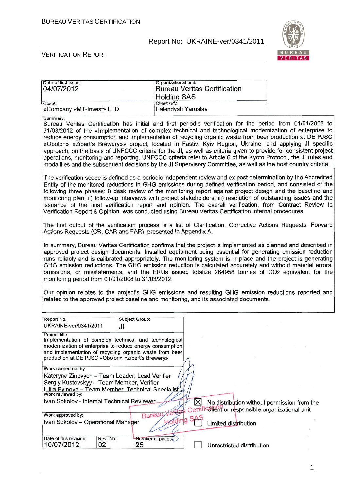

#### VERIFICATION REPORT

| Date of first issue:<br>04/07/2012                                                                                                                                                                                                                                                                                                                                                                                                                                                                                                                                                                                                                                                                                                                                                                                 | Organizational unit:<br><b>Holding SAS</b>                                                                                                                                                                                                                                                                                                                                                                                                                                                                                                                                                                                                                                                                                                                                                                           | <b>Bureau Veritas Certification</b>                      |  |  |  |  |  |  |
|--------------------------------------------------------------------------------------------------------------------------------------------------------------------------------------------------------------------------------------------------------------------------------------------------------------------------------------------------------------------------------------------------------------------------------------------------------------------------------------------------------------------------------------------------------------------------------------------------------------------------------------------------------------------------------------------------------------------------------------------------------------------------------------------------------------------|----------------------------------------------------------------------------------------------------------------------------------------------------------------------------------------------------------------------------------------------------------------------------------------------------------------------------------------------------------------------------------------------------------------------------------------------------------------------------------------------------------------------------------------------------------------------------------------------------------------------------------------------------------------------------------------------------------------------------------------------------------------------------------------------------------------------|----------------------------------------------------------|--|--|--|--|--|--|
| Client:<br>«Company «MT-Invest» LTD                                                                                                                                                                                                                                                                                                                                                                                                                                                                                                                                                                                                                                                                                                                                                                                | Client ref.:<br>Falendysh Yaroslav                                                                                                                                                                                                                                                                                                                                                                                                                                                                                                                                                                                                                                                                                                                                                                                   |                                                          |  |  |  |  |  |  |
| Summary:<br>Bureau Veritas Certification has initial and first periodic verification for the period from 01/01/2008 to<br>31/03/2012 of the «Implementation of complex technical and technological modernization of enterprise to<br>reduce energy consumption and implementation of recycling organic waste from beer production at DE PJSC<br>«Obolon» «Zibert's Brewery»» project, located in Fastiv, Kyiv Region, Ukraine, and applying JI specific<br>approach, on the basis of UNFCCC criteria for the JI, as well as criteria given to provide for consistent project<br>operations, monitoring and reporting. UNFCCC criteria refer to Article 6 of the Kyoto Protocol, the JI rules and<br>modalities and the subsequent decisions by the JI Supervisory Committee, as well as the host country criteria. |                                                                                                                                                                                                                                                                                                                                                                                                                                                                                                                                                                                                                                                                                                                                                                                                                      |                                                          |  |  |  |  |  |  |
|                                                                                                                                                                                                                                                                                                                                                                                                                                                                                                                                                                                                                                                                                                                                                                                                                    | The verification scope is defined as a periodic independent review and ex post determination by the Accredited<br>Entity of the monitored reductions in GHG emissions during defined verification period, and consisted of the<br>following three phases: i) desk review of the monitoring report against project design and the baseline and<br>monitoring plan; ii) follow-up interviews with project stakeholders; iii) resolution of outstanding issues and the<br>issuance of the final verification report and opinion. The overall verification, from Contract Review to<br>Verification Report & Opinion, was conducted using Bureau Veritas Certification internal procedures.                                                                                                                              |                                                          |  |  |  |  |  |  |
| The first output of the verification process is a list of Clarification, Corrective Actions Requests, Forward<br>Actions Requests (CR, CAR and FAR), presented in Appendix A.                                                                                                                                                                                                                                                                                                                                                                                                                                                                                                                                                                                                                                      |                                                                                                                                                                                                                                                                                                                                                                                                                                                                                                                                                                                                                                                                                                                                                                                                                      |                                                          |  |  |  |  |  |  |
|                                                                                                                                                                                                                                                                                                                                                                                                                                                                                                                                                                                                                                                                                                                                                                                                                    | In summary, Bureau Veritas Certification confirms that the project is implemented as planned and described in<br>approved project design documents. Installed equipment being essential for generating emission reduction<br>runs reliably and is calibrated appropriately. The monitoring system is in place and the project is generating<br>GHG emission reductions. The GHG emission reduction is calculated accurately and without material errors,<br>omissions, or misstatements, and the ERUs issued totalize 264958 tonnes of CO2 equivalent for the<br>monitoring period from 01/01/2008 to 31/03/2012.<br>Our opinion relates to the project's GHG emissions and resulting GHG emission reductions reported and<br>related to the approved project baseline and monitoring, and its associated documents. |                                                          |  |  |  |  |  |  |
|                                                                                                                                                                                                                                                                                                                                                                                                                                                                                                                                                                                                                                                                                                                                                                                                                    |                                                                                                                                                                                                                                                                                                                                                                                                                                                                                                                                                                                                                                                                                                                                                                                                                      |                                                          |  |  |  |  |  |  |
| Report No.:<br>UKRAINE-ver/0341/2011<br>JI                                                                                                                                                                                                                                                                                                                                                                                                                                                                                                                                                                                                                                                                                                                                                                         | Subject Group:                                                                                                                                                                                                                                                                                                                                                                                                                                                                                                                                                                                                                                                                                                                                                                                                       |                                                          |  |  |  |  |  |  |
| Project title:<br>Implementation of complex technical and technological<br>modernization of enterprise to reduce energy consumption<br>and implementation of recycling organic waste from beer<br>production at DE PJSC «Obolon» «Zibert's Brewery»                                                                                                                                                                                                                                                                                                                                                                                                                                                                                                                                                                |                                                                                                                                                                                                                                                                                                                                                                                                                                                                                                                                                                                                                                                                                                                                                                                                                      |                                                          |  |  |  |  |  |  |
| Work carried out by:                                                                                                                                                                                                                                                                                                                                                                                                                                                                                                                                                                                                                                                                                                                                                                                               |                                                                                                                                                                                                                                                                                                                                                                                                                                                                                                                                                                                                                                                                                                                                                                                                                      |                                                          |  |  |  |  |  |  |
| Kateryna Zinevych - Team Leader, Lead Verifier<br>Sergiy Kustovskyy - Team Member, Verifier<br>Iuliia Pylnova - Team Member, Technical Specialist<br>Work reviewed by:                                                                                                                                                                                                                                                                                                                                                                                                                                                                                                                                                                                                                                             |                                                                                                                                                                                                                                                                                                                                                                                                                                                                                                                                                                                                                                                                                                                                                                                                                      |                                                          |  |  |  |  |  |  |
| Ivan Sokolov - Internal Technical Reviewer                                                                                                                                                                                                                                                                                                                                                                                                                                                                                                                                                                                                                                                                                                                                                                         |                                                                                                                                                                                                                                                                                                                                                                                                                                                                                                                                                                                                                                                                                                                                                                                                                      | $\bowtie$<br>No distribution without permission from the |  |  |  |  |  |  |
| Work approved by:                                                                                                                                                                                                                                                                                                                                                                                                                                                                                                                                                                                                                                                                                                                                                                                                  | <b>Burea</b>                                                                                                                                                                                                                                                                                                                                                                                                                                                                                                                                                                                                                                                                                                                                                                                                         | Certifi@lient or responsible organizational unit         |  |  |  |  |  |  |
| Ivan Sokolov - Operational Manager                                                                                                                                                                                                                                                                                                                                                                                                                                                                                                                                                                                                                                                                                                                                                                                 |                                                                                                                                                                                                                                                                                                                                                                                                                                                                                                                                                                                                                                                                                                                                                                                                                      | Limited distribution                                     |  |  |  |  |  |  |
| Date of this revision:<br>Rev. No.:<br>10/07/2012<br>02                                                                                                                                                                                                                                                                                                                                                                                                                                                                                                                                                                                                                                                                                                                                                            | Number of pages<br>25                                                                                                                                                                                                                                                                                                                                                                                                                                                                                                                                                                                                                                                                                                                                                                                                | Unrestricted distribution                                |  |  |  |  |  |  |

1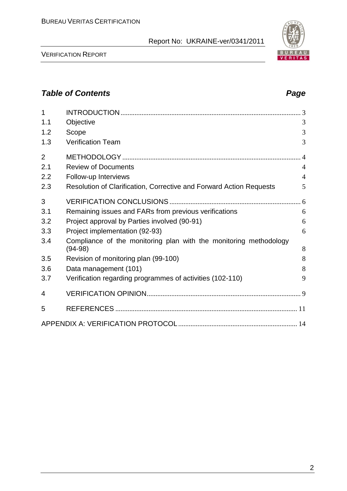#### VERIFICATION REPORT

# *Table of Contents Page*

| $\mathbf{1}$   |                                                                                |                |
|----------------|--------------------------------------------------------------------------------|----------------|
| 1.1            | Objective                                                                      | 3              |
| 1.2            | Scope                                                                          | 3              |
| 1.3            | <b>Verification Team</b>                                                       | 3              |
| $\overline{2}$ |                                                                                |                |
| 2.1            | <b>Review of Documents</b>                                                     | $\overline{4}$ |
| 2.2            | Follow-up Interviews                                                           | $\overline{4}$ |
| 2.3            | Resolution of Clarification, Corrective and Forward Action Requests            | 5              |
| 3              |                                                                                |                |
| 3.1            | Remaining issues and FARs from previous verifications                          | 6              |
| 3.2            | Project approval by Parties involved (90-91)                                   | 6              |
| 3.3            | Project implementation (92-93)                                                 | 6              |
| 3.4            | Compliance of the monitoring plan with the monitoring methodology<br>$(94-98)$ | 8              |
| 3.5            | Revision of monitoring plan (99-100)                                           | 8              |
| 3.6            | Data management (101)                                                          | 8              |
| 3.7            | Verification regarding programmes of activities (102-110)                      | 9              |
| 4              |                                                                                |                |
| 5              |                                                                                |                |
|                |                                                                                |                |

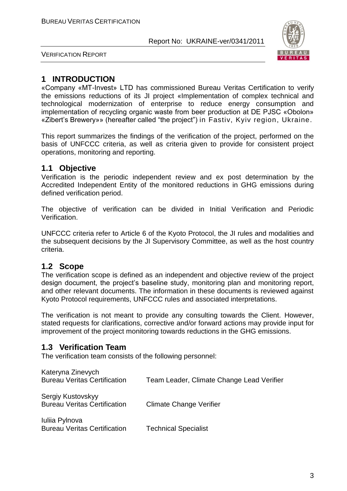

VERIFICATION REPORT

# **1 INTRODUCTION**

«Company «MT-Invest» LTD has commissioned Bureau Veritas Certification to verify the emissions reductions of its JI project «Implementation of complex technical and technological modernization of enterprise to reduce energy consumption and implementation of recycling organic waste from beer production at DE PJSC «Obolon» «Zibert's Brewery»» (hereafter called "the project") in Fastiv, Kyiv region, Ukraine.

This report summarizes the findings of the verification of the project, performed on the basis of UNFCCC criteria, as well as criteria given to provide for consistent project operations, monitoring and reporting.

#### **1.1 Objective**

Verification is the periodic independent review and ex post determination by the Accredited Independent Entity of the monitored reductions in GHG emissions during defined verification period.

The objective of verification can be divided in Initial Verification and Periodic Verification.

UNFCCC criteria refer to Article 6 of the Kyoto Protocol, the JI rules and modalities and the subsequent decisions by the JI Supervisory Committee, as well as the host country criteria.

# **1.2 Scope**

The verification scope is defined as an independent and objective review of the project design document, the project's baseline study, monitoring plan and monitoring report, and other relevant documents. The information in these documents is reviewed against Kyoto Protocol requirements, UNFCCC rules and associated interpretations.

The verification is not meant to provide any consulting towards the Client. However, stated requests for clarifications, corrective and/or forward actions may provide input for improvement of the project monitoring towards reductions in the GHG emissions.

# **1.3 Verification Team**

The verification team consists of the following personnel:

| Kateryna Zinevych<br><b>Bureau Veritas Certification</b> | Team Leader, Climate Change Lead Verifier |
|----------------------------------------------------------|-------------------------------------------|
| Sergiy Kustovskyy<br><b>Bureau Veritas Certification</b> | <b>Climate Change Verifier</b>            |
| Iuliia Pylnova<br><b>Bureau Veritas Certification</b>    | <b>Technical Specialist</b>               |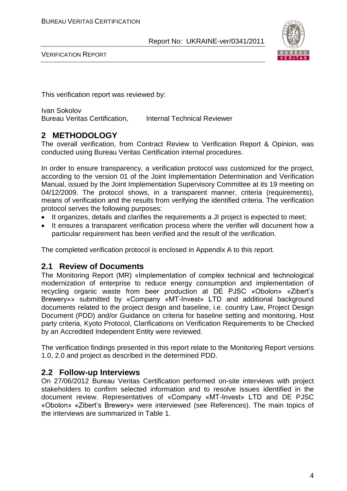

VERIFICATION REPORT

This verification report was reviewed by:

Ivan Sokolov Bureau Veritas Certification, Internal Technical Reviewer

### **2 METHODOLOGY**

The overall verification, from Contract Review to Verification Report & Opinion, was conducted using Bureau Veritas Certification internal procedures.

In order to ensure transparency, a verification protocol was customized for the project, according to the version 01 of the Joint Implementation Determination and Verification Manual, issued by the Joint Implementation Supervisory Committee at its 19 meeting on 04/12/2009. The protocol shows, in a transparent manner, criteria (requirements), means of verification and the results from verifying the identified criteria. The verification protocol serves the following purposes:

- It organizes, details and clarifies the requirements a JI project is expected to meet;
- It ensures a transparent verification process where the verifier will document how a particular requirement has been verified and the result of the verification.

The completed verification protocol is enclosed in Appendix A to this report.

#### **2.1 Review of Documents**

The Monitoring Report (MR) «Implementation of complex technical and technological modernization of enterprise to reduce energy consumption and implementation of recycling organic waste from beer production at DE PJSC «Obolon» «Zibert's Brewery»» submitted by «Company «MT-Invest» LTD and additional background documents related to the project design and baseline, i.e. country Law, Project Design Document (PDD) and/or Guidance on criteria for baseline setting and monitoring, Host party criteria, Kyoto Protocol, Clarifications on Verification Requirements to be Checked by an Accredited Independent Entity were reviewed.

The verification findings presented in this report relate to the Monitoring Report versions 1.0, 2.0 and project as described in the determined PDD.

#### **2.2 Follow-up Interviews**

On 27/06/2012 Bureau Veritas Certification performed on-site interviews with project stakeholders to confirm selected information and to resolve issues identified in the document review. Representatives of «Company «MT-Invest» LTD and DE PJSC «Obolon» «Zibert's Brewery» were interviewed (see References). The main topics of the interviews are summarized in Table 1.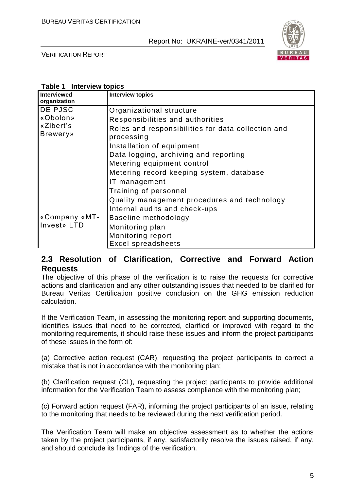

VERIFICATION REPORT

#### **Table 1 Interview topics**

| <b>Interviewed</b><br>organization | <b>Interview topics</b>                                          |
|------------------------------------|------------------------------------------------------------------|
| DE PJSC                            | Organizational structure                                         |
| «Obolon»                           | Responsibilities and authorities                                 |
| «Zibert's<br><b>Brewery</b> »      | Roles and responsibilities for data collection and<br>processing |
|                                    | Installation of equipment                                        |
|                                    | Data logging, archiving and reporting                            |
|                                    | Metering equipment control                                       |
|                                    | Metering record keeping system, database                         |
|                                    | IT management                                                    |
|                                    | Training of personnel                                            |
|                                    | Quality management procedures and technology                     |
|                                    | Internal audits and check-ups                                    |
| «Company «MT-                      | Baseline methodology                                             |
| Invest» LTD                        | Monitoring plan                                                  |
|                                    | Monitoring report                                                |
|                                    | <b>Excel spreadsheets</b>                                        |

#### **2.3 Resolution of Clarification, Corrective and Forward Action Requests**

The objective of this phase of the verification is to raise the requests for corrective actions and clarification and any other outstanding issues that needed to be clarified for Bureau Veritas Certification positive conclusion on the GHG emission reduction calculation.

If the Verification Team, in assessing the monitoring report and supporting documents, identifies issues that need to be corrected, clarified or improved with regard to the monitoring requirements, it should raise these issues and inform the project participants of these issues in the form of:

(a) Corrective action request (CAR), requesting the project participants to correct a mistake that is not in accordance with the monitoring plan;

(b) Clarification request (CL), requesting the project participants to provide additional information for the Verification Team to assess compliance with the monitoring plan;

(c) Forward action request (FAR), informing the project participants of an issue, relating to the monitoring that needs to be reviewed during the next verification period.

The Verification Team will make an objective assessment as to whether the actions taken by the project participants, if any, satisfactorily resolve the issues raised, if any, and should conclude its findings of the verification.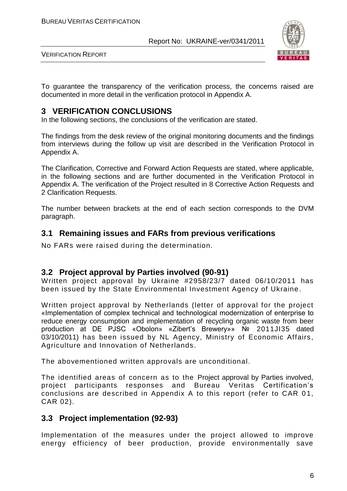

VERIFICATION REPORT

To guarantee the transparency of the verification process, the concerns raised are documented in more detail in the verification protocol in Appendix A.

### **3 VERIFICATION CONCLUSIONS**

In the following sections, the conclusions of the verification are stated.

The findings from the desk review of the original monitoring documents and the findings from interviews during the follow up visit are described in the Verification Protocol in Appendix A.

The Clarification, Corrective and Forward Action Requests are stated, where applicable, in the following sections and are further documented in the Verification Protocol in Appendix A. The verification of the Project resulted in 8 Corrective Action Requests and 2 Clarification Requests.

The number between brackets at the end of each section corresponds to the DVM paragraph.

#### **3.1 Remaining issues and FARs from previous verifications**

No FARs were raised during the determination.

#### **3.2 Project approval by Parties involved (90-91)**

Written project approval by Ukraine #2958/23/7 dated 06/10/2011 has been issued by the State Environmental Investment Agency of Ukraine.

Written project approval by Netherlands (letter of approval for the project «Implementation of complex technical and technological modernization of enterprise to reduce energy consumption and implementation of recycling organic waste from beer production at DE PJSC «Obolon» «Zibert's Brewery»» № 2011JI35 dated 03/10/2011) has been issued by NL Agency, Ministry of Economic Affairs, Agriculture and Innovation of Netherlands.

The abovementioned written approvals are unconditional.

The identified areas of concern as to the Project approval by Parties involved, project participants responses and Bureau Veritas Certification's conclusions are described in Appendix A to this report (refer to CAR 0 1, CAR 02).

#### **3.3 Project implementation (92-93)**

Implementation of the measures under the project allowed to improve energy efficiency of beer production, provide environmentally save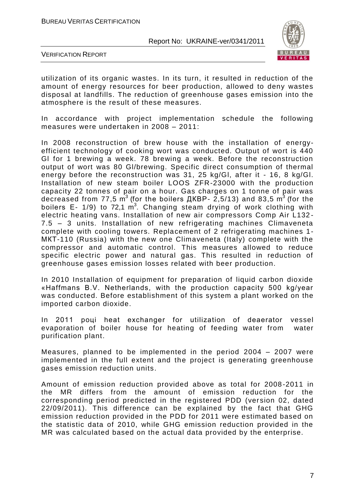

VERIFICATION REPORT

utilization of its organic wastes. In its turn, it resulted in reduction of the amount of energy resources for beer production, allowed to deny wastes disposal at landfills. The reduction of greenhouse gases emission into the atmosphere is the result of these measures.

In accordance with project implementation schedule the following measures were undertaken in 2008 – 2011:

In 2008 reconstruction of brew house with the installation of energyefficient technology of cooking wort was conducted. Output of wort is 440 Gl for 1 brewing a week. 78 brewing a week. Before the reconstruction output of wort was 80 Gl/brewing. Specific direct consumption of thermal energy before the reconstruction was 31, 25 kg/Gl, after it - 16, 8 kg/Gl. Installation of new steam boiler LOOS ZFR-23000 with the production capacity 22 tonnes of pair on a hour. Gas charges on 1 tonne of pair was decreased from 77,5  $\textsf{m}^{3}$  (for the boilers ДКВР- 2,5/13) and 83,5  $\textsf{m}^{3}$  (for the boilers E- 1/9) to 72,1  $m^3$ . Changing steam drying of work clothing with electric heating vans. Installation of new air compressors Comp Air L132 - 7.5 – 3 units. Installation of new refrigerating machines Climaveneta complete with cooling towers. Replacement of 2 refrigerating machines 1- МКТ-110 (Russia) with the new one Climaveneta (Italy) complete with the compressor and automatic control. This measures allowed to reduce specific electric power and natural gas. This resulted in reduction of greenhouse gases emission losses related with beer production.

In 2010 Installation of equipment for preparation of liquid carbon dioxide «Haffmans B.V. Netherlands, with the production capacity 500 kg/year was conducted. Before establishment of this system a plant worked on the imported carbon dioxide.

In 2011 poui heat exchanger for utilization of deaerator vessel evaporation of boiler house for heating of feeding water from water purification plant.

Measures, planned to be implemented in the period 2004 – 2007 were implemented in the full extent and the project is generating greenhouse gases emission reduction units.

Amount of emission reduction provided above as total for 2008 -2011 in the MR differs from the amount of emission reduction for the corresponding period predicted in the registered PDD (version 02, dated 22/09/2011). This difference can be explained by the fact that GHG emission reduction provided in the PDD for 2011 were estimated based on the statistic data of 2010, while GHG emission reduction provided in the MR was calculated based on the actual data provided by the enterprise.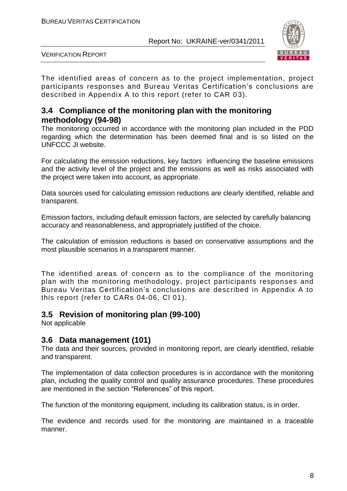

VERIFICATION REPORT

The identified areas of concern as to the project implementation, project participants responses and Bureau Veritas Certification's conclusions are described in Appendix A to this report (refer to CAR 03).

### **3.4 Compliance of the monitoring plan with the monitoring methodology (94-98)**

The monitoring occurred in accordance with the monitoring plan included in the PDD regarding which the determination has been deemed final and is so listed on the UNFCCC JI website.

For calculating the emission reductions, key factors influencing the baseline emissions and the activity level of the project and the emissions as well as risks associated with the project were taken into account, as appropriate.

Data sources used for calculating emission reductions are clearly identified, reliable and transparent.

Emission factors, including default emission factors, are selected by carefully balancing accuracy and reasonableness, and appropriately justified of the choice.

The calculation of emission reductions is based on conservative assumptions and the most plausible scenarios in a transparent manner.

The identified areas of concern as to the compliance of the monitoring plan with the monitoring methodology, project participants responses and Bureau Veritas Certification's conclusions are described in Appendix A to this report (refer to CARs 04-06, Cl 01).

# **3.5 Revision of monitoring plan (99-100)**

Not applicable

# **3.6 Data management (101)**

The data and their sources, provided in monitoring report, are clearly identified, reliable and transparent.

The implementation of data collection procedures is in accordance with the monitoring plan, including the quality control and quality assurance procedures. These procedures are mentioned in the section "References" of this report.

The function of the monitoring equipment, including its calibration status, is in order.

The evidence and records used for the monitoring are maintained in a traceable manner.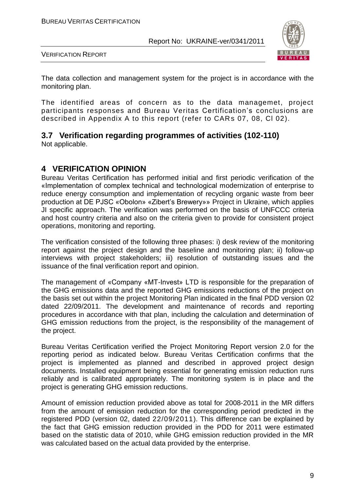

VERIFICATION REPORT

The data collection and management system for the project is in accordance with the monitoring plan.

The identified areas of concern as to the data managemet, project participants responses and Bureau Veritas Certification's conclusions are described in Appendix A to this report (refer to CARs 07, 08, Cl 02).

#### **3.7 Verification regarding programmes of activities (102-110)**  Not applicable.

### **4 VERIFICATION OPINION**

Bureau Veritas Certification has performed initial and first periodic verification of the «Implementation of complex technical and technological modernization of enterprise to reduce energy consumption and implementation of recycling organic waste from beer production at DE PJSC «Obolon» «Zibert's Brewery»» Project in Ukraine, which applies JI specific approach. The verification was performed on the basis of UNFCCC criteria and host country criteria and also on the criteria given to provide for consistent project operations, monitoring and reporting.

The verification consisted of the following three phases: i) desk review of the monitoring report against the project design and the baseline and monitoring plan; ii) follow-up interviews with project stakeholders; iii) resolution of outstanding issues and the issuance of the final verification report and opinion.

The management of «Company «MT-Invest» LTD is responsible for the preparation of the GHG emissions data and the reported GHG emissions reductions of the project on the basis set out within the project Monitoring Plan indicated in the final PDD version 02 dated 22/09/2011. The development and maintenance of records and reporting procedures in accordance with that plan, including the calculation and determination of GHG emission reductions from the project, is the responsibility of the management of the project.

Bureau Veritas Certification verified the Project Monitoring Report version 2.0 for the reporting period as indicated below. Bureau Veritas Certification confirms that the project is implemented as planned and described in approved project design documents. Installed equipment being essential for generating emission reduction runs reliably and is calibrated appropriately. The monitoring system is in place and the project is generating GHG emission reductions.

Amount of emission reduction provided above as total for 2008-2011 in the MR differs from the amount of emission reduction for the corresponding period predicted in the registered PDD (version 02, dated 22/09/2011). This difference can be explained by the fact that GHG emission reduction provided in the PDD for 2011 were estimated based on the statistic data of 2010, while GHG emission reduction provided in the MR was calculated based on the actual data provided by the enterprise.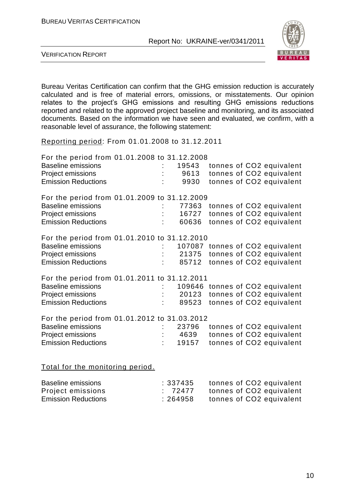

VERIFICATION REPORT

Bureau Veritas Certification can confirm that the GHG emission reduction is accurately calculated and is free of material errors, omissions, or misstatements. Our opinion relates to the project's GHG emissions and resulting GHG emissions reductions reported and related to the approved project baseline and monitoring, and its associated documents. Based on the information we have seen and evaluated, we confirm, with a reasonable level of assurance, the following statement:

Reporting period: From 01.01.2008 to 31.12.2011

| For the period from 01.01.2008 to 31.12.2008 |    |       |  |                                 |
|----------------------------------------------|----|-------|--|---------------------------------|
| <b>Baseline emissions</b>                    |    | 19543 |  | tonnes of CO2 equivalent        |
| Project emissions                            |    | 9613  |  | tonnes of CO2 equivalent        |
| <b>Emission Reductions</b>                   |    | 9930  |  | tonnes of CO2 equivalent        |
| For the period from 01.01.2009 to 31.12.2009 |    |       |  |                                 |
| <b>Baseline emissions</b>                    |    | 77363 |  | tonnes of CO2 equivalent        |
| Project emissions                            |    | 16727 |  | tonnes of CO2 equivalent        |
| <b>Emission Reductions</b>                   |    | 60636 |  | tonnes of CO2 equivalent        |
| For the period from 01.01.2010 to 31.12.2010 |    |       |  |                                 |
| <b>Baseline emissions</b>                    |    |       |  | 107087 tonnes of CO2 equivalent |
| Project emissions                            |    |       |  | 21375 tonnes of CO2 equivalent  |
| <b>Emission Reductions</b>                   |    | 85712 |  | tonnes of CO2 equivalent        |
| For the period from 01.01.2011 to 31.12.2011 |    |       |  |                                 |
| <b>Baseline emissions</b>                    |    |       |  | 109646 tonnes of CO2 equivalent |
| Project emissions                            |    | 20123 |  | tonnes of CO2 equivalent        |
| <b>Emission Reductions</b>                   |    | 89523 |  | tonnes of CO2 equivalent        |
| For the period from 01.01.2012 to 31.03.2012 |    |       |  |                                 |
| <b>Baseline emissions</b>                    |    | 23796 |  | tonnes of CO2 equivalent        |
| Project emissions                            |    | 4639  |  | tonnes of CO2 equivalent        |
| <b>Emission Reductions</b>                   | ł. | 19157 |  | tonnes of CO2 equivalent        |
|                                              |    |       |  |                                 |

Total for the monitoring period.

| Baseline emissions         | :337435 | tonnes of CO2 equivalent |
|----------------------------|---------|--------------------------|
| Project emissions          | : 72477 | tonnes of CO2 equivalent |
| <b>Emission Reductions</b> | :264958 | tonnes of CO2 equivalent |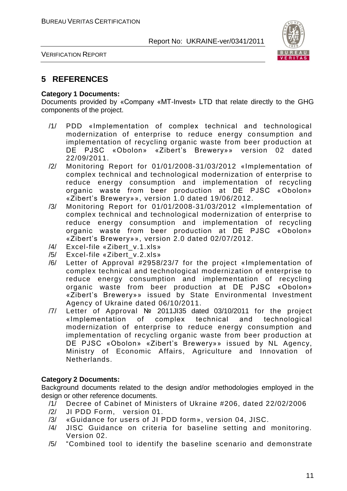

VERIFICATION REPORT

# **5 REFERENCES**

#### **Category 1 Documents:**

Documents provided by «Company «MT-Invest» LTD that relate directly to the GHG components of the project.

- /1/ PDD «Implementation of complex technical and technological modernization of enterprise to reduce energy consumption and implementation of recycling organic waste from beer production at DE PJSC «Obolon» «Zibert's Brewery»» version 02 dated 22/09/2011.
- /2/ Monitoring Report for 01/01/2008-31/03/2012 «Implementation of complex technical and technological modernization of enterprise to reduce energy consumption and implementation of recycling organic waste from beer production at DE PJSC «Obolon» «Zibert's Brewery»», version 1.0 dated 19/06/2012.
- /3/ Monitoring Report for 01/01/2008-31/03/2012 «Implementation of complex technical and technological modernization of enterprise to reduce energy consumption and implementation of recycling organic waste from beer production at DE PJSC «Obolon» «Zibert's Brewery»», version 2.0 dated 02/07/2012.
- /4/ Excel-file «Zibert\_v.1.xls»
- /5/ Excel-file «Zibert\_v.2.xls»
- /6/ Letter of Approval #2958/23/7 for the project «Implementation of complex technical and technological modernization of enterprise to reduce energy consumption and implementation of recycling organic waste from beer production at DE PJSC «Obolon» «Zibert's Brewery»» issued by State Environmental Investment Agency of Ukraine dated 06/10/2011.
- /7/ Letter of Approval № 2011JI35 dated 03/10/2011 for the project «Implementation of complex technical and technological modernization of enterprise to reduce energy consumption and implementation of recycling organic waste from beer production at DE PJSC «Obolon» «Zibert's Brewery»» issued by NL Agency, Ministry of Economic Affairs, Agriculture and Innovation of Netherlands.

#### **Category 2 Documents:**

Background documents related to the design and/or methodologies employed in the design or other reference documents.

- /1/ Decree of Cabinet of Ministers of Ukraine #206, dated 22/02/2006
- /2/ JI PDD Form, version 01.
- /3/ «Guidance for users of JI PDD form», version 04, JISC.
- /4/ JISC Guidance on criteria for baseline setting and monitoring. Version 02.
- /5/ "Combined tool to identify the baseline scenario and demonstrate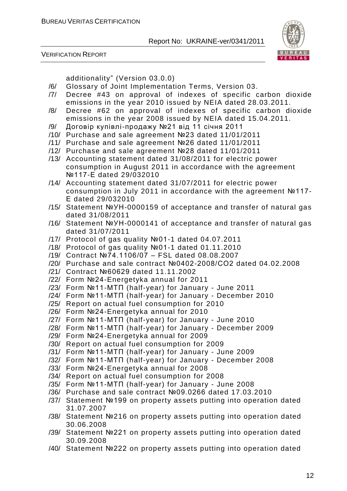VERIFICATION REPORT



additionality" (Version 03.0.0)

- /6/ Glossary of Joint Implementation Terms, Version 03.
- /7/ Decree #43 on approval of indexes of specific carbon dioxide emissions in the year 2010 issued by NEIA dated 28.03.2011.
- /8/ Decree #62 on approval of indexes of specific carbon dioxide emissions in the year 2008 issued by NEIA dated 15.04.2011.
- /9/ Договір купівлі-продажу №21 від 11 січня 2011
- /10/ Purchase and sale agreement №23 dated 11/01/2011
- /11/ Purchase and sale agreement №26 dated 11/01/2011
- /12/ Purchase and sale agreement №28 dated 11/01/2011
- /13/ Accounting statement dated 31/08/2011 for electric power consumption in August 2011 in accordance with the agreement №117-Е dated 29/032010
- /14/ Accounting statement dated 31/07/2011 for electric power consumption in July 2011 in accordance with the agreement №117- Е dated 29/032010
- /15/ Statement №УН-0000159 of acceptance and transfer of natural gas dated 31/08/2011
- /16/ Statement №УН-0000141 of acceptance and transfer of natural gas dated 31/07/2011
- /17/ Protocol of gas quality №01-1 dated 04.07.2011
- /18/ Protocol of gas quality №01-1 dated 01.11.2010
- /19/ Contract №74.1106/07 FSL dated 08.08.2007
- /20/ Purchase and sale contract №0402-2008/СО2 dated 04.02.2008
- /21/ Contract №60629 dated 11.11.2002
- /22/ Form №24-Energetyka annual for 2011
- /23/ Form №11-МТП (half-year) for January June 2011
- /24/ Form №11-МТП (half-year) for January December 2010
- /25/ Report on actual fuel consumption for 2010
- /26/ Form №24-Energetyka annual for 2010
- /27/ Form №11-МТП (half-year) for January June 2010
- /28/ Form №11-МТП (half-year) for January December 2009
- /29/ Form №24-Energetyka annual for 2009
- /30/ Report on actual fuel consumption for 2009
- /31/ Form №11-МТП (half-year) for January June 2009
- /32/ Form №11-МТП (half-year) for January December 2008
- /33/ Form №24-Energetyka annual for 2008
- /34/ Report on actual fuel consumption for 2008
- /35/ Form №11-МТП (half-year) for January June 2008
- /36/ Purchase and sale contract №09.0266 dated 17.03.2010
- /37/ Statement №199 on property assets putting into operation dated 31.07.2007
- /38/ Statement №216 on property assets putting into operation dated 30.06.2008
- /39/ Statement №221 on property assets putting into operation dated 30.09.2008
- /40/ Statement №222 on property assets putting into operation dated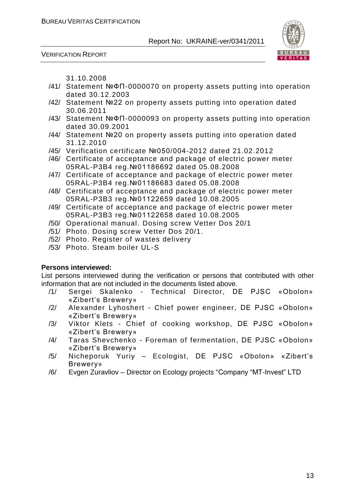



31.10.2008

- /41/ Statement №ФП-0000070 on property assets putting into operation dated 30.12.2003
- /42/ Statement №22 on property assets putting into operation dated 30.06.2011
- /43/ Statement №ФП-0000093 on property assets putting into operation dated 30.09.2001
- /44/ Statement №20 on property assets putting into operation dated 31.12.2010
- /45/ Verification certificate №050/004-2012 dated 21.02.2012
- /46/ Certificate of acceptance and package of electric power meter 05RAL-P3B4 reg.№01186692 dated 05.08.2008
- /47/ Certificate of acceptance and package of electric power meter 05RAL-P3B4 reg.№01186683 dated 05.08.2008
- /48/ Certificate of acceptance and package of electric power meter 05RAL-P3B3 reg.№01122659 dated 10.08.2005
- /49/ Certificate of acceptance and package of electric power meter 05RAL-P3B3 reg.№01122658 dated 10.08.2005
- /50/ Operational manual. Dosing screw Vetter Dos 20/1
- /51/ Photo. Dosing screw Vetter Dos 20/1.
- /52/ Photo. Register of wastes delivery
- /53/ Photo. Steam boiler UL-S

#### **Persons interviewed:**

List persons interviewed during the verification or persons that contributed with other information that are not included in the documents listed above.

- /1/ Sergei Skalenko Technical Director, DE PJSC «Obolon» «Zibert's Brewery»
- /2/ Alexander Lyhoshert Chief power engineer, DE PJSC «Obolon» «Zibert's Brewery»
- /3/ Viktor Klets Chief of cooking workshop, DE PJSC «Obolon» «Zibert's Brewery»
- /4/ Taras Shevchenko Foreman of fermentation, DE PJSC «Obolon» «Zibert's Brewery»
- /5/ Nicheporuk Yuriy Ecologist, DE PJSC «Obolon» «Zibert's Brewery»
- /6/ Evgen Zuravliov Director on Ecology projects "Company "MT-Invest" LTD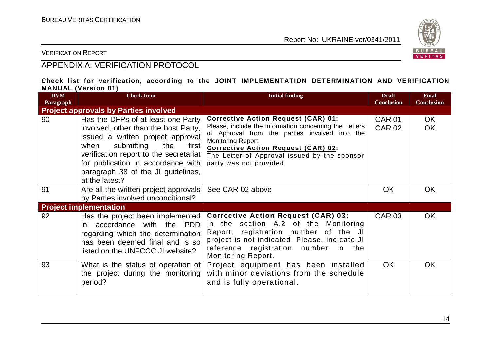

VERIFICATION REPORT

# APPENDIX A: VERIFICATION PROTOCOL

#### **Check list for verification, according to the JOINT IMPLEMENTATION DETERMINATION AND VERIFICATION MANUAL (Version 01)**

| <b>DVM</b><br>Paragraph | ---------<br><b>Check Item</b>                                                                                                                                                                                                                                                                | <b>Initial finding</b>                                                                                                                                                                                                                                                                               | <b>Draft</b><br><b>Conclusion</b> | <b>Final</b><br><b>Conclusion</b> |
|-------------------------|-----------------------------------------------------------------------------------------------------------------------------------------------------------------------------------------------------------------------------------------------------------------------------------------------|------------------------------------------------------------------------------------------------------------------------------------------------------------------------------------------------------------------------------------------------------------------------------------------------------|-----------------------------------|-----------------------------------|
|                         | <b>Project approvals by Parties involved</b>                                                                                                                                                                                                                                                  |                                                                                                                                                                                                                                                                                                      |                                   |                                   |
| 90                      | Has the DFPs of at least one Party<br>involved, other than the host Party,<br>issued a written project approval<br>submitting<br>when<br>the<br>first<br>verification report to the secretariat<br>for publication in accordance with<br>paragraph 38 of the JI guidelines,<br>at the latest? | <b>Corrective Action Request (CAR) 01:</b><br>Please, include the information concerning the Letters<br>of Approval from the parties involved into the<br>Monitoring Report.<br><b>Corrective Action Request (CAR) 02:</b><br>The Letter of Approval issued by the sponsor<br>party was not provided | <b>CAR 01</b><br><b>CAR 02</b>    | OK<br><b>OK</b>                   |
| 91                      | Are all the written project approvals<br>by Parties involved unconditional?                                                                                                                                                                                                                   | See CAR 02 above                                                                                                                                                                                                                                                                                     | <b>OK</b>                         | OK.                               |
|                         | <b>Project implementation</b>                                                                                                                                                                                                                                                                 |                                                                                                                                                                                                                                                                                                      |                                   |                                   |
| 92                      | Has the project been implemented<br>accordance with the PDD<br>in.<br>regarding which the determination<br>has been deemed final and is so<br>listed on the UNFCCC JI website?                                                                                                                | <b>Corrective Action Request (CAR) 03:</b><br>In the section A.2 of the Monitoring<br>Report, registration number of the JI<br>project is not indicated. Please, indicate JI<br>reference registration number in the<br><b>Monitoring Report.</b>                                                    | <b>CAR 03</b>                     | <b>OK</b>                         |
| 93                      | What is the status of operation of<br>the project during the monitoring<br>period?                                                                                                                                                                                                            | Project equipment has been installed<br>with minor deviations from the schedule<br>and is fully operational.                                                                                                                                                                                         | <b>OK</b>                         | <b>OK</b>                         |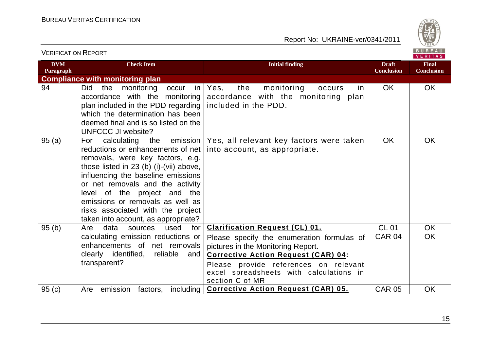

| <b>VERIFICATION REPORT</b> |                                                                                                                                                                                                                                                                                                                                                                                  |                                                                                                                                                                                                                                                                                |                                   | BUREAU<br><b>VERITAS</b>          |
|----------------------------|----------------------------------------------------------------------------------------------------------------------------------------------------------------------------------------------------------------------------------------------------------------------------------------------------------------------------------------------------------------------------------|--------------------------------------------------------------------------------------------------------------------------------------------------------------------------------------------------------------------------------------------------------------------------------|-----------------------------------|-----------------------------------|
| <b>DVM</b><br>Paragraph    | <b>Check Item</b>                                                                                                                                                                                                                                                                                                                                                                | <b>Initial finding</b>                                                                                                                                                                                                                                                         | <b>Draft</b><br><b>Conclusion</b> | <b>Final</b><br><b>Conclusion</b> |
|                            | <b>Compliance with monitoring plan</b>                                                                                                                                                                                                                                                                                                                                           |                                                                                                                                                                                                                                                                                |                                   |                                   |
| 94                         | monitoring<br>Did<br>the<br>occur<br>in<br>accordance with the monitoring<br>plan included in the PDD regarding<br>which the determination has been<br>deemed final and is so listed on the<br><b>UNFCCC JI website?</b>                                                                                                                                                         | the<br>monitoring<br>Yes,<br>occurs<br>in.<br>accordance with the monitoring plan<br>included in the PDD.                                                                                                                                                                      | <b>OK</b>                         | OK                                |
| 95(a)                      | the emission<br>calculating<br>For<br>reductions or enhancements of net<br>removals, were key factors, e.g.<br>those listed in 23 (b) (i)-(vii) above,<br>influencing the baseline emissions<br>or net removals and the activity<br>level of the project and the<br>emissions or removals as well as<br>risks associated with the project<br>taken into account, as appropriate? | Yes, all relevant key factors were taken<br>into account, as appropriate.                                                                                                                                                                                                      | <b>OK</b>                         | <b>OK</b>                         |
| 95(b)                      | Are<br>data<br>used<br>for<br>sources<br>calculating emission reductions or<br>enhancements of net removals<br>clearly identified, reliable<br>and<br>transparent?                                                                                                                                                                                                               | <b>Clarification Request (CL) 01.</b><br>Please specify the enumeration formulas of<br>pictures in the Monitoring Report.<br><b>Corrective Action Request (CAR) 04:</b><br>Please provide references on relevant<br>excel spreadsheets with calculations in<br>section C of MR | <b>CL 01</b><br><b>CAR 04</b>     | <b>OK</b><br><b>OK</b>            |
| 95(c)                      | Are emission<br>factors,<br>including                                                                                                                                                                                                                                                                                                                                            | <b>Corrective Action Request (CAR) 05.</b>                                                                                                                                                                                                                                     | <b>CAR 05</b>                     | <b>OK</b>                         |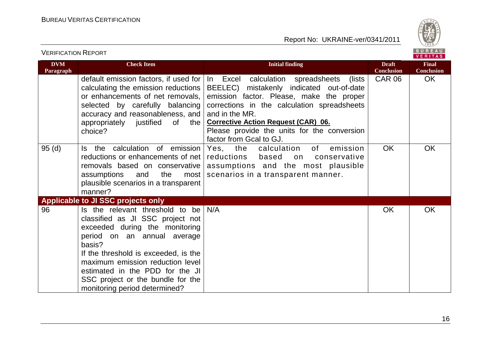

| <b>VERIFICATION REPORT</b> |                                                                                                                                                                                                                                                                                                                                     |                                                                                                                                                                                                                                                                                                                               |                                   | BUREAU<br><b>VERITAS</b>          |
|----------------------------|-------------------------------------------------------------------------------------------------------------------------------------------------------------------------------------------------------------------------------------------------------------------------------------------------------------------------------------|-------------------------------------------------------------------------------------------------------------------------------------------------------------------------------------------------------------------------------------------------------------------------------------------------------------------------------|-----------------------------------|-----------------------------------|
| <b>DVM</b><br>Paragraph    | <b>Check Item</b>                                                                                                                                                                                                                                                                                                                   | <b>Initial finding</b>                                                                                                                                                                                                                                                                                                        | <b>Draft</b><br><b>Conclusion</b> | <b>Final</b><br><b>Conclusion</b> |
|                            | default emission factors, if used for<br>calculating the emission reductions<br>or enhancements of net removals,<br>selected by carefully balancing<br>accuracy and reasonableness, and<br>appropriately justified<br>0f<br>the<br>choice?                                                                                          | In Excel calculation spreadsheets<br>(lists)<br>BEELEC) mistakenly indicated out-of-date<br>emission factor. Please, make the proper<br>corrections in the calculation spreadsheets<br>and in the MR.<br><b>Corrective Action Request (CAR) 06.</b><br>Please provide the units for the conversion<br>factor from Gcal to GJ. | <b>CAR 06</b>                     | <b>OK</b>                         |
| 95(d)                      | the calculation of emission<br>ls.<br>reductions or enhancements of net<br>removals based on conservative<br>the<br>assumptions<br>and<br>most<br>plausible scenarios in a transparent<br>manner?                                                                                                                                   | Yes, the<br>emission<br>calculation<br>of l<br>reductions<br>based<br>conservative<br>on<br>assumptions and the most plausible<br>scenarios in a transparent manner.                                                                                                                                                          | <b>OK</b>                         | OK                                |
|                            | <b>Applicable to JI SSC projects only</b>                                                                                                                                                                                                                                                                                           |                                                                                                                                                                                                                                                                                                                               |                                   |                                   |
| 96                         | Is the relevant threshold to be<br>classified as JI SSC project not<br>exceeded during the monitoring<br>period on an annual average<br>basis?<br>If the threshold is exceeded, is the<br>maximum emission reduction level<br>estimated in the PDD for the JI<br>SSC project or the bundle for the<br>monitoring period determined? | N/A                                                                                                                                                                                                                                                                                                                           | OK                                | OK                                |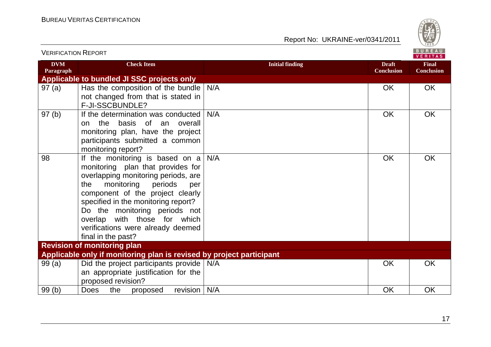

| <b>VERIFICATION REPORT</b> |                                                                                                                                                                                                                                                                                                                                                                      |                        |                                   | BUREAU<br><b>VERITAS</b>          |
|----------------------------|----------------------------------------------------------------------------------------------------------------------------------------------------------------------------------------------------------------------------------------------------------------------------------------------------------------------------------------------------------------------|------------------------|-----------------------------------|-----------------------------------|
| <b>DVM</b><br>Paragraph    | <b>Check Item</b>                                                                                                                                                                                                                                                                                                                                                    | <b>Initial finding</b> | <b>Draft</b><br><b>Conclusion</b> | <b>Final</b><br><b>Conclusion</b> |
|                            | Applicable to bundled JI SSC projects only                                                                                                                                                                                                                                                                                                                           |                        |                                   |                                   |
| 97(a)                      | Has the composition of the bundle $N/A$<br>not changed from that is stated in<br>F-JI-SSCBUNDLE?                                                                                                                                                                                                                                                                     |                        | OK                                | <b>OK</b>                         |
| 97(b)                      | If the determination was conducted<br>the basis of an overall<br>on<br>monitoring plan, have the project<br>participants submitted a common<br>monitoring report?                                                                                                                                                                                                    | N/A                    | <b>OK</b>                         | <b>OK</b>                         |
| 98                         | If the monitoring is based on $a \mid N/A$<br>monitoring plan that provides for<br>overlapping monitoring periods, are<br>monitoring<br>periods<br>the<br>per<br>component of the project clearly<br>specified in the monitoring report?<br>Do the monitoring periods not<br>overlap with those for which<br>verifications were already deemed<br>final in the past? |                        | <b>OK</b>                         | <b>OK</b>                         |
|                            | <b>Revision of monitoring plan</b>                                                                                                                                                                                                                                                                                                                                   |                        |                                   |                                   |
|                            | Applicable only if monitoring plan is revised by project participant                                                                                                                                                                                                                                                                                                 |                        |                                   |                                   |
| 99(a)                      | Did the project participants provide   N/A<br>an appropriate justification for the<br>proposed revision?                                                                                                                                                                                                                                                             |                        | <b>OK</b>                         | <b>OK</b>                         |
| 99(b)                      | revision $\vert$ N/A<br>Does<br>the<br>proposed                                                                                                                                                                                                                                                                                                                      |                        | OK                                | OK                                |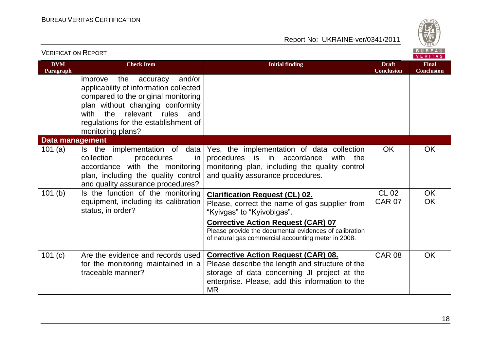

| <b>VERIFICATION REPORT</b> |                                                                                                                                                                                                                                                                   |                                                                                                                                                                                                                                                                                    |                                   | BUREAU<br>VERITAS                 |
|----------------------------|-------------------------------------------------------------------------------------------------------------------------------------------------------------------------------------------------------------------------------------------------------------------|------------------------------------------------------------------------------------------------------------------------------------------------------------------------------------------------------------------------------------------------------------------------------------|-----------------------------------|-----------------------------------|
| <b>DVM</b><br>Paragraph    | <b>Check Item</b>                                                                                                                                                                                                                                                 | <b>Initial finding</b>                                                                                                                                                                                                                                                             | <b>Draft</b><br><b>Conclusion</b> | <b>Final</b><br><b>Conclusion</b> |
|                            | the<br>and/or<br>improve<br>accuracy<br>applicability of information collected<br>compared to the original monitoring<br>plan without changing conformity<br>relevant<br>rules<br>the<br>with<br>and<br>regulations for the establishment of<br>monitoring plans? |                                                                                                                                                                                                                                                                                    |                                   |                                   |
| <b>Data management</b>     |                                                                                                                                                                                                                                                                   |                                                                                                                                                                                                                                                                                    |                                   |                                   |
| 101 $(a)$                  | data<br>Is the implementation of<br>procedures<br>collection<br>in<br>accordance with the monitoring<br>plan, including the quality control<br>and quality assurance procedures?                                                                                  | Yes, the implementation of data collection<br>procedures is in accordance<br>with<br>the<br>monitoring plan, including the quality control<br>and quality assurance procedures.                                                                                                    | <b>OK</b>                         | <b>OK</b>                         |
| 101(b)                     | Is the function of the monitoring<br>equipment, including its calibration<br>status, in order?                                                                                                                                                                    | <b>Clarification Request (CL) 02.</b><br>Please, correct the name of gas supplier from<br>"Kyivgas" to "Kyivoblgas".<br><b>Corrective Action Request (CAR) 07</b><br>Please provide the documental evidences of calibration<br>of natural gas commercial accounting meter in 2008. | <b>CL 02</b><br><b>CAR 07</b>     | OK<br><b>OK</b>                   |
| 101 (c)                    | Are the evidence and records used<br>for the monitoring maintained in a<br>traceable manner?                                                                                                                                                                      | <b>Corrective Action Request (CAR) 08.</b><br>Please describe the length and structure of the<br>storage of data concerning JI project at the<br>enterprise. Please, add this information to the<br><b>MR</b>                                                                      | <b>CAR 08</b>                     | <b>OK</b>                         |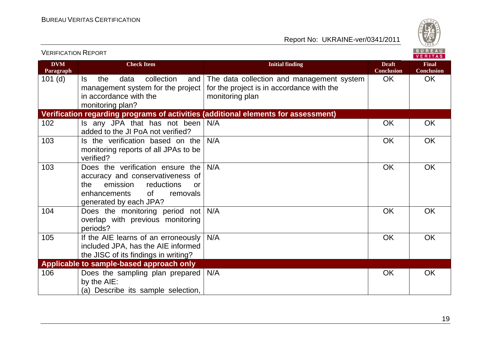

|                         |                                                                                                                                                                                |                                                                                                           |                                   | <b>VERITAS</b>                    |  |
|-------------------------|--------------------------------------------------------------------------------------------------------------------------------------------------------------------------------|-----------------------------------------------------------------------------------------------------------|-----------------------------------|-----------------------------------|--|
| <b>DVM</b><br>Paragraph | <b>Check Item</b>                                                                                                                                                              | <b>Initial finding</b>                                                                                    | <b>Draft</b><br><b>Conclusion</b> | <b>Final</b><br><b>Conclusion</b> |  |
| $101$ (d)               | the<br>collection<br>ls.<br>data<br>and<br>management system for the project<br>in accordance with the<br>monitoring plan?                                                     | The data collection and management system<br>for the project is in accordance with the<br>monitoring plan | <b>OK</b>                         | OK                                |  |
|                         |                                                                                                                                                                                | Verification regarding programs of activities (additional elements for assessment)                        |                                   |                                   |  |
| 102                     | Is any JPA that has not been $N/A$<br>added to the JI PoA not verified?                                                                                                        |                                                                                                           | <b>OK</b>                         | <b>OK</b>                         |  |
| 103                     | Is the verification based on the<br>monitoring reports of all JPAs to be<br>verified?                                                                                          | N/A                                                                                                       | <b>OK</b>                         | <b>OK</b>                         |  |
| 103                     | Does the verification ensure the<br>accuracy and conservativeness of<br>emission<br>reductions<br>the<br><b>or</b><br>0f<br>removals<br>enhancements<br>generated by each JPA? | N/A                                                                                                       | <b>OK</b>                         | <b>OK</b>                         |  |
| 104                     | Does the monitoring period not<br>overlap with previous monitoring<br>periods?                                                                                                 | N/A                                                                                                       | OK                                | <b>OK</b>                         |  |
| 105                     | If the AIE learns of an erroneously<br>included JPA, has the AIE informed<br>the JISC of its findings in writing?                                                              | N/A                                                                                                       | <b>OK</b>                         | <b>OK</b>                         |  |
|                         | Applicable to sample-based approach only                                                                                                                                       |                                                                                                           |                                   |                                   |  |
| 106                     | Does the sampling plan prepared<br>by the AIE:<br>(a) Describe its sample selection,                                                                                           | N/A                                                                                                       | <b>OK</b>                         | <b>OK</b>                         |  |

VERIFICATION REPORT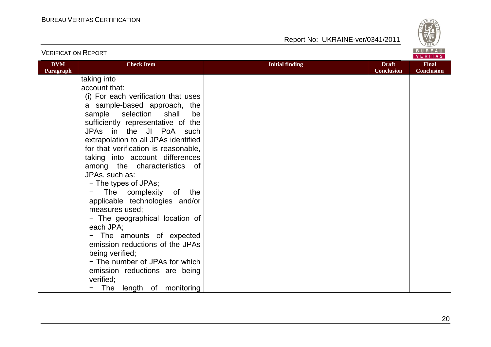



| <b>VERIFICATION REPORT</b> |                                                                                                                                                                                                                                                                                         |                        |                                   |                                   |
|----------------------------|-----------------------------------------------------------------------------------------------------------------------------------------------------------------------------------------------------------------------------------------------------------------------------------------|------------------------|-----------------------------------|-----------------------------------|
| <b>DVM</b><br>Paragraph    | <b>Check Item</b>                                                                                                                                                                                                                                                                       | <b>Initial finding</b> | <b>Draft</b><br><b>Conclusion</b> | <b>Final</b><br><b>Conclusion</b> |
|                            | taking into<br>account that:<br>(i) For each verification that uses<br>a sample-based approach, the<br>sample selection<br>shall<br>be<br>sufficiently representative of the<br>JPAs in the JI PoA such<br>extrapolation to all JPAs identified<br>for that verification is reasonable, |                        |                                   |                                   |
|                            | taking into account differences<br>among the characteristics of<br>JPAs, such as:<br>- The types of JPAs;<br>The complexity of the<br>applicable technologies and/or<br>measures used;<br>- The geographical location of<br>each JPA;                                                   |                        |                                   |                                   |
|                            | - The amounts of expected<br>emission reductions of the JPAs<br>being verified;<br>- The number of JPAs for which<br>emission reductions are being<br>verified;<br>The length of monitoring                                                                                             |                        |                                   |                                   |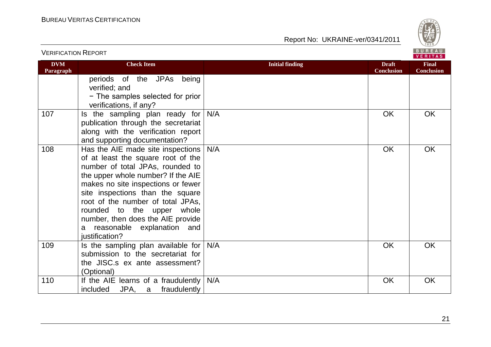

| <b>VERIFICATION REPORT</b> |                                                                                                                                                                                                                                                                                                                                                                                       |                        |                                   |                                   |
|----------------------------|---------------------------------------------------------------------------------------------------------------------------------------------------------------------------------------------------------------------------------------------------------------------------------------------------------------------------------------------------------------------------------------|------------------------|-----------------------------------|-----------------------------------|
| <b>DVM</b><br>Paragraph    | <b>Check Item</b>                                                                                                                                                                                                                                                                                                                                                                     | <b>Initial finding</b> | <b>Draft</b><br><b>Conclusion</b> | <b>Final</b><br><b>Conclusion</b> |
|                            | periods of the JPAs being<br>verified; and<br>- The samples selected for prior<br>verifications, if any?                                                                                                                                                                                                                                                                              |                        |                                   |                                   |
| 107                        | Is the sampling plan ready for $N/A$<br>publication through the secretariat<br>along with the verification report<br>and supporting documentation?                                                                                                                                                                                                                                    |                        | <b>OK</b>                         | <b>OK</b>                         |
| 108                        | Has the AIE made site inspections<br>of at least the square root of the<br>number of total JPAs, rounded to<br>the upper whole number? If the AIE<br>makes no site inspections or fewer<br>site inspections than the square<br>root of the number of total JPAs,<br>rounded to the upper whole<br>number, then does the AIE provide<br>a reasonable explanation and<br>justification? | N/A                    | <b>OK</b>                         | OK                                |
| 109                        | Is the sampling plan available for<br>submission to the secretariat for<br>the JISC.s ex ante assessment?<br>(Optional)                                                                                                                                                                                                                                                               | N/A                    | OK                                | <b>OK</b>                         |
| 110                        | If the AIE learns of a fraudulently<br>JPA, a fraudulently<br>included                                                                                                                                                                                                                                                                                                                | N/A                    | OK                                | OK                                |

21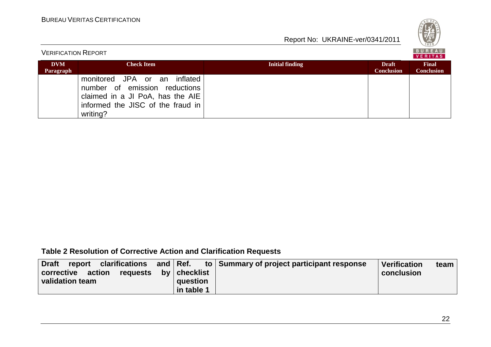

| <b>VERIFICATION REPORT</b> |                                                                                                                                                       |                        |                                   |                                   |  |
|----------------------------|-------------------------------------------------------------------------------------------------------------------------------------------------------|------------------------|-----------------------------------|-----------------------------------|--|
| <b>DVM</b><br>Paragraph    | <b>Check Item</b>                                                                                                                                     | <b>Initial finding</b> | <b>Draft</b><br><b>Conclusion</b> | <b>Final</b><br><b>Conclusion</b> |  |
|                            | monitored JPA or an<br>inflated<br>number of emission reductions<br>claimed in a JI PoA, has the AIE<br>informed the JISC of the fraud in<br>writing? |                        |                                   |                                   |  |

# **Table 2 Resolution of Corrective Action and Clarification Requests**

| report clarifications and Ref.<br><b>Draft</b> |                | to Summary of project participant response | Verification | team |
|------------------------------------------------|----------------|--------------------------------------------|--------------|------|
| action<br>corrective<br>requests               | by   checklist |                                            | conclusion   |      |
| validation team                                | question       |                                            |              |      |
|                                                | in table 1     |                                            |              |      |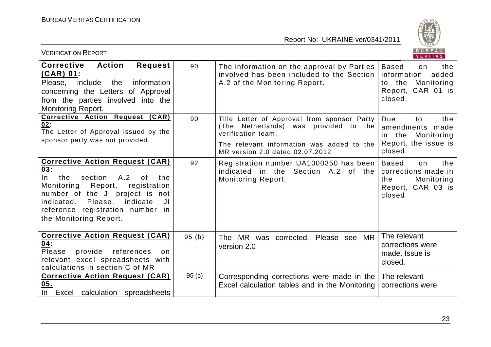

| BUREAU<br><b>VERIFICATION REPORT</b><br>VERITAS                                                                                                                                                                                                                                          |                   |                                                                                                                                                                                            |                                                                                                              |
|------------------------------------------------------------------------------------------------------------------------------------------------------------------------------------------------------------------------------------------------------------------------------------------|-------------------|--------------------------------------------------------------------------------------------------------------------------------------------------------------------------------------------|--------------------------------------------------------------------------------------------------------------|
| Corrective<br><b>Action</b><br><b>Request</b><br>$(CAR)$ 01:<br>Please, include<br>the<br>information<br>concerning the Letters of Approval<br>from the parties involved into the<br>Monitoring Report.                                                                                  | 90                | The information on the approval by Parties<br>involved has been included to the Section<br>A.2 of the Monitoring Report.                                                                   | the<br><b>Based</b><br>on<br>added<br>information<br>the<br>Monitoring<br>to<br>Report, CAR 01 is<br>closed. |
| Corrective Action Request (CAR)<br>02:<br>The Letter of Approval issued by the<br>sponsor party was not provided.                                                                                                                                                                        | 90                | Tille Letter of Approval from sponsor Party<br>(The Netherlands) was provided to the<br>verification team.<br>The relevant information was added to the<br>MR version 2.0 dated 02.07.2012 | Due<br>the<br>to<br>amendments made<br>Monitoring<br>the<br>in.<br>Report, the issue is<br>closed.           |
| <b>Corrective Action Request (CAR)</b><br><u>03:</u><br>$\ln$<br>section<br>A.2<br>the<br>0f<br>the<br>Report,<br>Monitoring<br>registration<br>number of the JI project is not<br>indicate<br>indicated.<br>Please,<br>JI<br>reference registration number in<br>the Monitoring Report. | 92                | Registration number UA1000350 has been<br>indicated in the Section A.2 of the<br>Monitoring Report.                                                                                        | <b>Based</b><br>the<br>on<br>corrections made in<br>Monitoring<br>the<br>Report, CAR 03 is<br>closed.        |
| <b>Corrective Action Request (CAR)</b><br>04:<br>Please<br>provide<br>references<br>on.<br>relevant excel spreadsheets with<br>calculations in section C of MR                                                                                                                           | 95(b)             | The MR was corrected. Please see MR<br>version 2.0                                                                                                                                         | The relevant<br>corrections were<br>made. Issue is<br>closed.                                                |
| <b>Corrective Action Request (CAR)</b><br>05.<br>In Excel calculation spreadsheets                                                                                                                                                                                                       | 95 <sub>(c)</sub> | Corresponding corrections were made in the<br>Excel calculation tables and in the Monitoring                                                                                               | The relevant<br>corrections were                                                                             |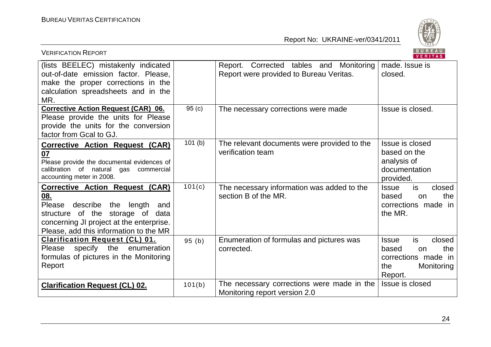

| <b>VERIFICATION REPORT</b>                                                                                                                                                                                          |                   |                                                                                    | BUREAU<br><b>VERITAS</b>                                                                                   |
|---------------------------------------------------------------------------------------------------------------------------------------------------------------------------------------------------------------------|-------------------|------------------------------------------------------------------------------------|------------------------------------------------------------------------------------------------------------|
| (lists BEELEC) mistakenly indicated<br>out-of-date emission factor. Please,<br>make the proper corrections in the<br>calculation spreadsheets and in the<br>MR.                                                     |                   | Report. Corrected tables and Monitoring<br>Report were provided to Bureau Veritas. | made. Issue is<br>closed.                                                                                  |
| Corrective Action Request (CAR) 06.<br>Please provide the units for Please<br>provide the units for the conversion<br>factor from Gcal to GJ.                                                                       | 95 <sub>(c)</sub> | The necessary corrections were made                                                | Issue is closed.                                                                                           |
| <b>Corrective Action Request (CAR)</b><br>07<br>Please provide the documental evidences of<br>calibration of natural<br>gas<br>commercial<br>accounting meter in 2008.                                              | 101(b)            | The relevant documents were provided to the<br>verification team                   | Issue is closed<br>based on the<br>analysis of<br>documentation<br>provided.                               |
| <b>Corrective Action Request (CAR)</b><br><u>08.</u><br>Please describe the length<br>and<br>structure of the storage of data<br>concerning JI project at the enterprise.<br>Please, add this information to the MR | 101(c)            | The necessary information was added to the<br>section B of the MR.                 | is<br>closed<br><b>Issue</b><br>the<br>based<br>on<br>corrections made in<br>the MR.                       |
| <b>Clarification Request (CL) 01.</b><br>specify the<br><b>Please</b><br>enumeration<br>formulas of pictures in the Monitoring<br>Report                                                                            | 95(b)             | Enumeration of formulas and pictures was<br>corrected.                             | is.<br><b>Issue</b><br>closed<br>the<br>based<br>on<br>corrections made in<br>Monitoring<br>the<br>Report. |
| <b>Clarification Request (CL) 02.</b>                                                                                                                                                                               | 101(b)            | The necessary corrections were made in the<br>Monitoring report version 2.0        | Issue is closed                                                                                            |